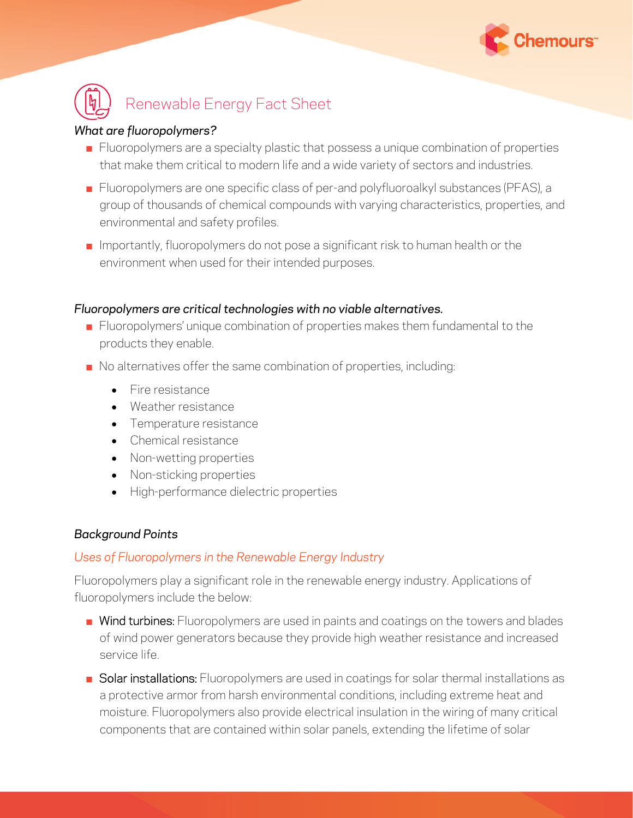



### *What are fluoropolymers?*

- **EXECT** Fluoropolymers are a specialty plastic that possess a unique combination of properties that make them critical to modern life and a wide variety of sectors and industries.
- Fluoropolymers are one specific class of per-and polyfluoroalkyl substances (PFAS), a group of thousands of chemical compounds with varying characteristics, properties, and environmental and safety profiles.
- $\blacksquare$  Importantly, fluoropolymers do not pose a significant risk to human health or the environment when used for their intended purposes.

#### *Fluoropolymers are critical technologies with no viable alternatives.*

- Fluoropolymers' unique combination of properties makes them fundamental to the products they enable.
- No alternatives offer the same combination of properties, including:
	- Fire resistance
	- Weather resistance
	- Temperature resistance
	- Chemical resistance
	- Non-wetting properties
	- Non-sticking properties
	- High-performance dielectric properties

## *Background Points*

#### *Uses of Fluoropolymers in the Renewable Energy Industry*

Fluoropolymers play a significant role in the renewable energy industry. Applications of fluoropolymers include the below:

- Wind turbines: Fluoropolymers are used in paints and coatings on the towers and blades of wind power generators because they provide high weather resistance and increased service life.
- Solar installations: Fluoropolymers are used in coatings for solar thermal installations as a protective armor from harsh environmental conditions, including extreme heat and moisture. Fluoropolymers also provide electrical insulation in the wiring of many critical components that are contained within solar panels, extending the lifetime of solar